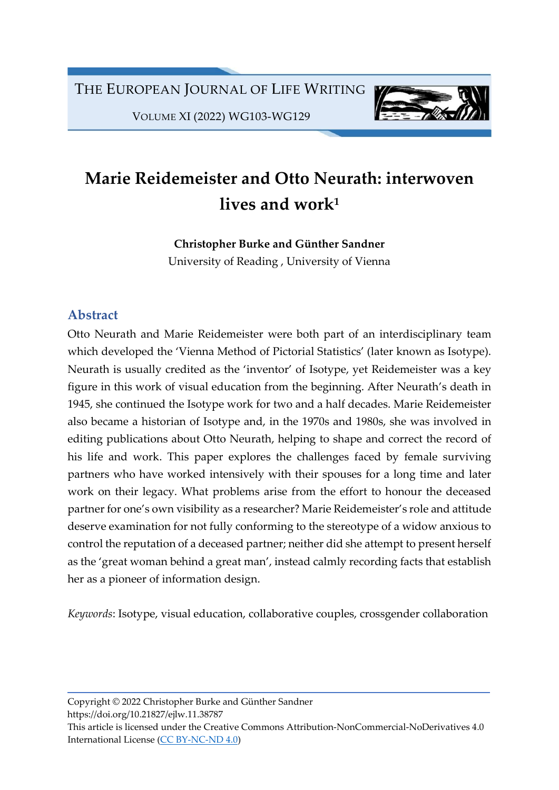

VOLUME XI (2022) WG103-WG129

# Marie Reidemeister and Otto Neurath: interwoven lives and work $1$

Christopher Burke and Günther Sandner

University of Reading , University of Vienna

# Abstract

Otto Neurath and Marie Reidemeister were both part of an interdisciplinary team which developed the 'Vienna Method of Pictorial Statistics' (later known as Isotype). Neurath is usually credited as the 'inventor' of Isotype, yet Reidemeister was a key figure in this work of visual education from the beginning. After Neurath's death in 1945, she continued the Isotype work for two and a half decades. Marie Reidemeister also became a historian of Isotype and, in the 1970s and 1980s, she was involved in editing publications about Otto Neurath, helping to shape and correct the record of his life and work. This paper explores the challenges faced by female surviving partners who have worked intensively with their spouses for a long time and later work on their legacy. What problems arise from the effort to honour the deceased partner for one's own visibility as a researcher? Marie Reidemeister's role and attitude deserve examination for not fully conforming to the stereotype of a widow anxious to control the reputation of a deceased partner; neither did she attempt to present herself as the 'great woman behind a great man', instead calmly recording facts that establish her as a pioneer of information design.

Keywords: Isotype, visual education, collaborative couples, crossgender collaboration

Copyright © 2022 Christopher Burke and Günther Sandner https://doi.org/10.21827/ejlw.11.38787 This article is licensed under the Creative Commons Attribution-NonCommercial-NoDerivatives 4.0 International License (CC BY-NC-ND 4.0)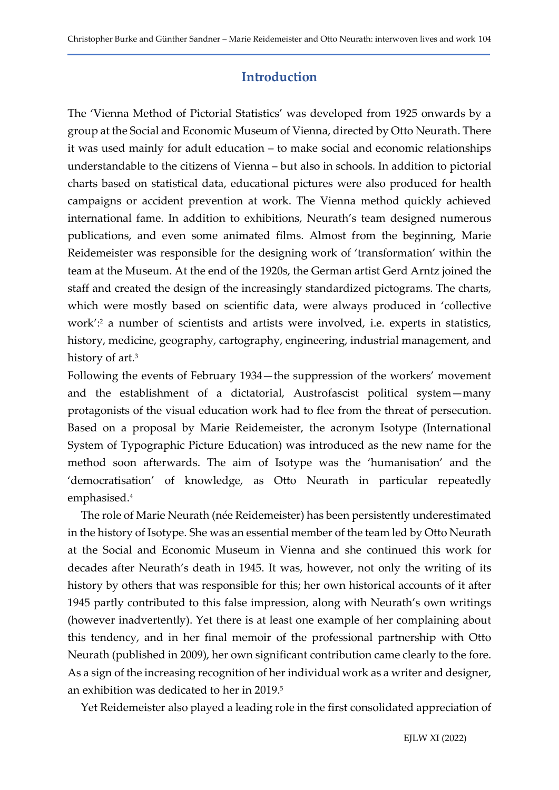### Introduction

The 'Vienna Method of Pictorial Statistics' was developed from 1925 onwards by a group at the Social and Economic Museum of Vienna, directed by Otto Neurath. There it was used mainly for adult education – to make social and economic relationships understandable to the citizens of Vienna – but also in schools. In addition to pictorial charts based on statistical data, educational pictures were also produced for health campaigns or accident prevention at work. The Vienna method quickly achieved international fame. In addition to exhibitions, Neurath's team designed numerous publications, and even some animated films. Almost from the beginning, Marie Reidemeister was responsible for the designing work of 'transformation' within the team at the Museum. At the end of the 1920s, the German artist Gerd Arntz joined the staff and created the design of the increasingly standardized pictograms. The charts, which were mostly based on scientific data, were always produced in 'collective work':<sup>2</sup> a number of scientists and artists were involved, i.e. experts in statistics, history, medicine, geography, cartography, engineering, industrial management, and history of art.<sup>3</sup>

Following the events of February 1934—the suppression of the workers' movement and the establishment of a dictatorial, Austrofascist political system—many protagonists of the visual education work had to flee from the threat of persecution. Based on a proposal by Marie Reidemeister, the acronym Isotype (International System of Typographic Picture Education) was introduced as the new name for the method soon afterwards. The aim of Isotype was the 'humanisation' and the 'democratisation' of knowledge, as Otto Neurath in particular repeatedly emphasised.<sup>4</sup>

The role of Marie Neurath (née Reidemeister) has been persistently underestimated in the history of Isotype. She was an essential member of the team led by Otto Neurath at the Social and Economic Museum in Vienna and she continued this work for decades after Neurath's death in 1945. It was, however, not only the writing of its history by others that was responsible for this; her own historical accounts of it after 1945 partly contributed to this false impression, along with Neurath's own writings (however inadvertently). Yet there is at least one example of her complaining about this tendency, and in her final memoir of the professional partnership with Otto Neurath (published in 2009), her own significant contribution came clearly to the fore. As a sign of the increasing recognition of her individual work as a writer and designer, an exhibition was dedicated to her in 2019.<sup>5</sup>

Yet Reidemeister also played a leading role in the first consolidated appreciation of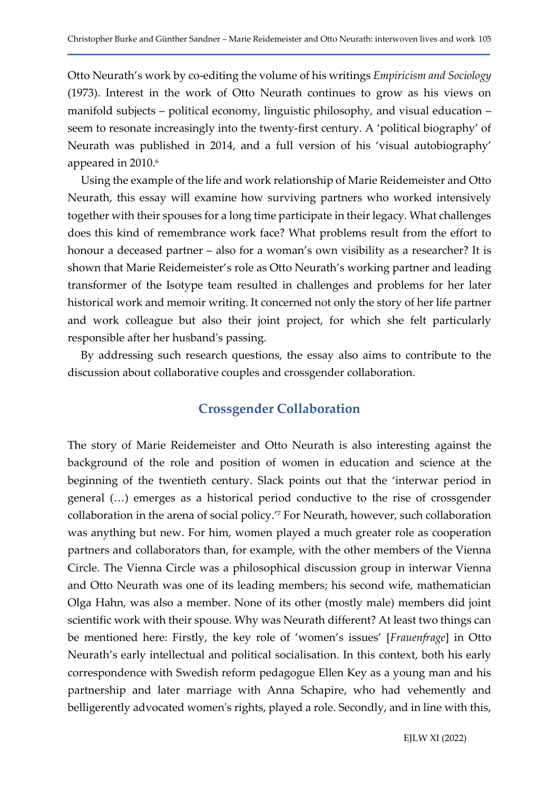Otto Neurath's work by co-editing the volume of his writings Empiricism and Sociology (1973). Interest in the work of Otto Neurath continues to grow as his views on manifold subjects – political economy, linguistic philosophy, and visual education – seem to resonate increasingly into the twenty-first century. A 'political biography' of Neurath was published in 2014, and a full version of his 'visual autobiography' appeared in 2010.<sup>6</sup>

Using the example of the life and work relationship of Marie Reidemeister and Otto Neurath, this essay will examine how surviving partners who worked intensively together with their spouses for a long time participate in their legacy. What challenges does this kind of remembrance work face? What problems result from the effort to honour a deceased partner – also for a woman's own visibility as a researcher? It is shown that Marie Reidemeister's role as Otto Neurath's working partner and leading transformer of the Isotype team resulted in challenges and problems for her later historical work and memoir writing. It concerned not only the story of her life partner and work colleague but also their joint project, for which she felt particularly responsible after her husband's passing.

By addressing such research questions, the essay also aims to contribute to the discussion about collaborative couples and crossgender collaboration.

### Crossgender Collaboration

The story of Marie Reidemeister and Otto Neurath is also interesting against the background of the role and position of women in education and science at the beginning of the twentieth century. Slack points out that the 'interwar period in general (…) emerges as a historical period conductive to the rise of crossgender collaboration in the arena of social policy.'<sup>7</sup> For Neurath, however, such collaboration was anything but new. For him, women played a much greater role as cooperation partners and collaborators than, for example, with the other members of the Vienna Circle. The Vienna Circle was a philosophical discussion group in interwar Vienna and Otto Neurath was one of its leading members; his second wife, mathematician Olga Hahn, was also a member. None of its other (mostly male) members did joint scientific work with their spouse. Why was Neurath different? At least two things can be mentioned here: Firstly, the key role of 'women's issues' [Frauenfrage] in Otto Neurath's early intellectual and political socialisation. In this context, both his early correspondence with Swedish reform pedagogue Ellen Key as a young man and his partnership and later marriage with Anna Schapire, who had vehemently and belligerently advocated women's rights, played a role. Secondly, and in line with this,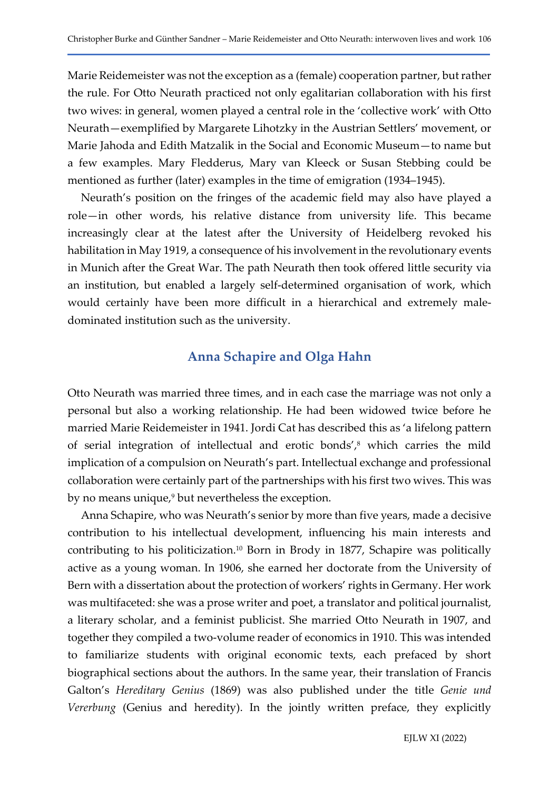Marie Reidemeister was not the exception as a (female) cooperation partner, but rather the rule. For Otto Neurath practiced not only egalitarian collaboration with his first two wives: in general, women played a central role in the 'collective work' with Otto Neurath—exemplified by Margarete Lihotzky in the Austrian Settlers' movement, or Marie Jahoda and Edith Matzalik in the Social and Economic Museum—to name but a few examples. Mary Fledderus, Mary van Kleeck or Susan Stebbing could be mentioned as further (later) examples in the time of emigration (1934–1945).

Neurath's position on the fringes of the academic field may also have played a role—in other words, his relative distance from university life. This became increasingly clear at the latest after the University of Heidelberg revoked his habilitation in May 1919, a consequence of his involvement in the revolutionary events in Munich after the Great War. The path Neurath then took offered little security via an institution, but enabled a largely self-determined organisation of work, which would certainly have been more difficult in a hierarchical and extremely maledominated institution such as the university.

### Anna Schapire and Olga Hahn

Otto Neurath was married three times, and in each case the marriage was not only a personal but also a working relationship. He had been widowed twice before he married Marie Reidemeister in 1941. Jordi Cat has described this as 'a lifelong pattern of serial integration of intellectual and erotic bonds',<sup>8</sup> which carries the mild implication of a compulsion on Neurath's part. Intellectual exchange and professional collaboration were certainly part of the partnerships with his first two wives. This was by no means unique,<sup>9</sup> but nevertheless the exception.

Anna Schapire, who was Neurath's senior by more than five years, made a decisive contribution to his intellectual development, influencing his main interests and contributing to his politicization.10 Born in Brody in 1877, Schapire was politically active as a young woman. In 1906, she earned her doctorate from the University of Bern with a dissertation about the protection of workers' rights in Germany. Her work was multifaceted: she was a prose writer and poet, a translator and political journalist, a literary scholar, and a feminist publicist. She married Otto Neurath in 1907, and together they compiled a two-volume reader of economics in 1910. This was intended to familiarize students with original economic texts, each prefaced by short biographical sections about the authors. In the same year, their translation of Francis Galton's Hereditary Genius (1869) was also published under the title Genie und Vererbung (Genius and heredity). In the jointly written preface, they explicitly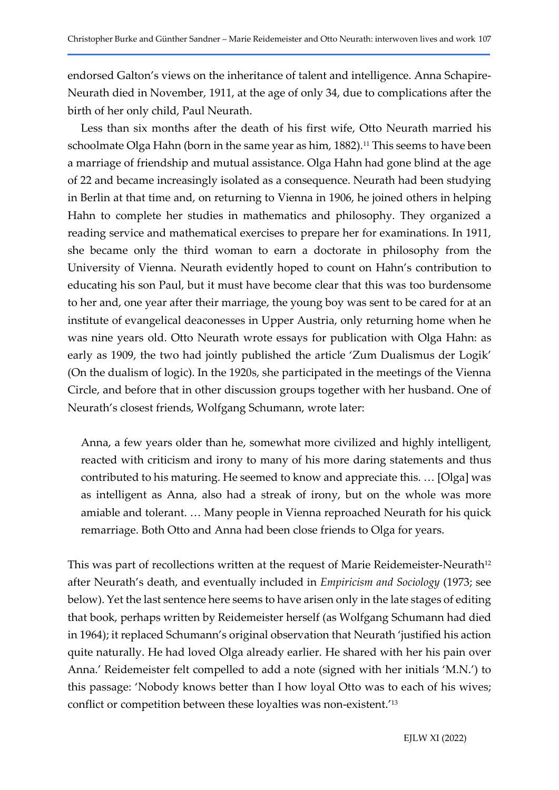endorsed Galton's views on the inheritance of talent and intelligence. Anna Schapire-Neurath died in November, 1911, at the age of only 34, due to complications after the birth of her only child, Paul Neurath.

Less than six months after the death of his first wife, Otto Neurath married his schoolmate Olga Hahn (born in the same year as him, 1882).<sup>11</sup> This seems to have been a marriage of friendship and mutual assistance. Olga Hahn had gone blind at the age of 22 and became increasingly isolated as a consequence. Neurath had been studying in Berlin at that time and, on returning to Vienna in 1906, he joined others in helping Hahn to complete her studies in mathematics and philosophy. They organized a reading service and mathematical exercises to prepare her for examinations. In 1911, she became only the third woman to earn a doctorate in philosophy from the University of Vienna. Neurath evidently hoped to count on Hahn's contribution to educating his son Paul, but it must have become clear that this was too burdensome to her and, one year after their marriage, the young boy was sent to be cared for at an institute of evangelical deaconesses in Upper Austria, only returning home when he was nine years old. Otto Neurath wrote essays for publication with Olga Hahn: as early as 1909, the two had jointly published the article 'Zum Dualismus der Logik' (On the dualism of logic). In the 1920s, she participated in the meetings of the Vienna Circle, and before that in other discussion groups together with her husband. One of Neurath's closest friends, Wolfgang Schumann, wrote later:

Anna, a few years older than he, somewhat more civilized and highly intelligent, reacted with criticism and irony to many of his more daring statements and thus contributed to his maturing. He seemed to know and appreciate this. … [Olga] was as intelligent as Anna, also had a streak of irony, but on the whole was more amiable and tolerant. … Many people in Vienna reproached Neurath for his quick remarriage. Both Otto and Anna had been close friends to Olga for years.

This was part of recollections written at the request of Marie Reidemeister-Neurath<sup>12</sup> after Neurath's death, and eventually included in Empiricism and Sociology (1973; see below). Yet the last sentence here seems to have arisen only in the late stages of editing that book, perhaps written by Reidemeister herself (as Wolfgang Schumann had died in 1964); it replaced Schumann's original observation that Neurath 'justified his action quite naturally. He had loved Olga already earlier. He shared with her his pain over Anna.' Reidemeister felt compelled to add a note (signed with her initials 'M.N.') to this passage: 'Nobody knows better than I how loyal Otto was to each of his wives; conflict or competition between these loyalties was non-existent.'13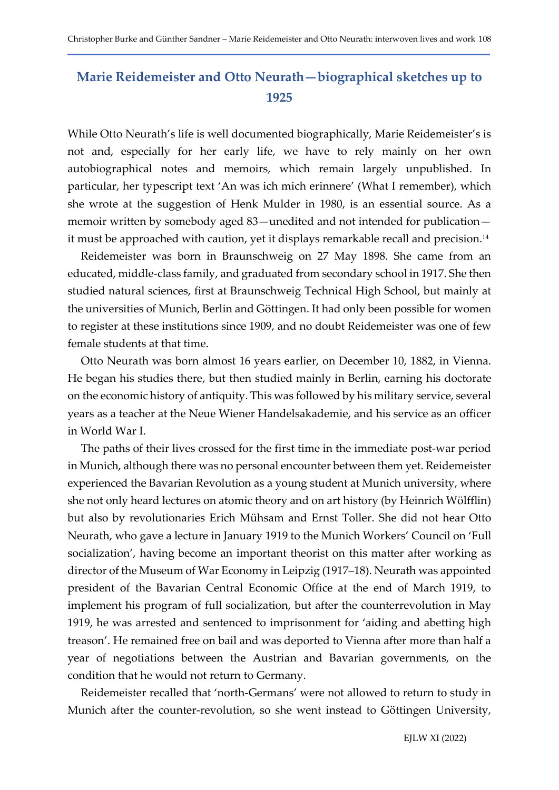# Marie Reidemeister and Otto Neurath—biographical sketches up to 1925

While Otto Neurath's life is well documented biographically, Marie Reidemeister's is not and, especially for her early life, we have to rely mainly on her own autobiographical notes and memoirs, which remain largely unpublished. In particular, her typescript text 'An was ich mich erinnere' (What I remember), which she wrote at the suggestion of Henk Mulder in 1980, is an essential source. As a memoir written by somebody aged 83—unedited and not intended for publication it must be approached with caution, yet it displays remarkable recall and precision.<sup>14</sup>

Reidemeister was born in Braunschweig on 27 May 1898. She came from an educated, middle-class family, and graduated from secondary school in 1917. She then studied natural sciences, first at Braunschweig Technical High School, but mainly at the universities of Munich, Berlin and Göttingen. It had only been possible for women to register at these institutions since 1909, and no doubt Reidemeister was one of few female students at that time.

Otto Neurath was born almost 16 years earlier, on December 10, 1882, in Vienna. He began his studies there, but then studied mainly in Berlin, earning his doctorate on the economic history of antiquity. This was followed by his military service, several years as a teacher at the Neue Wiener Handelsakademie, and his service as an officer in World War I.

The paths of their lives crossed for the first time in the immediate post-war period in Munich, although there was no personal encounter between them yet. Reidemeister experienced the Bavarian Revolution as a young student at Munich university, where she not only heard lectures on atomic theory and on art history (by Heinrich Wölfflin) but also by revolutionaries Erich Mühsam and Ernst Toller. She did not hear Otto Neurath, who gave a lecture in January 1919 to the Munich Workers' Council on 'Full socialization', having become an important theorist on this matter after working as director of the Museum of War Economy in Leipzig (1917–18). Neurath was appointed president of the Bavarian Central Economic Office at the end of March 1919, to implement his program of full socialization, but after the counterrevolution in May 1919, he was arrested and sentenced to imprisonment for 'aiding and abetting high treason'. He remained free on bail and was deported to Vienna after more than half a year of negotiations between the Austrian and Bavarian governments, on the condition that he would not return to Germany.

Reidemeister recalled that 'north-Germans' were not allowed to return to study in Munich after the counter-revolution, so she went instead to Göttingen University,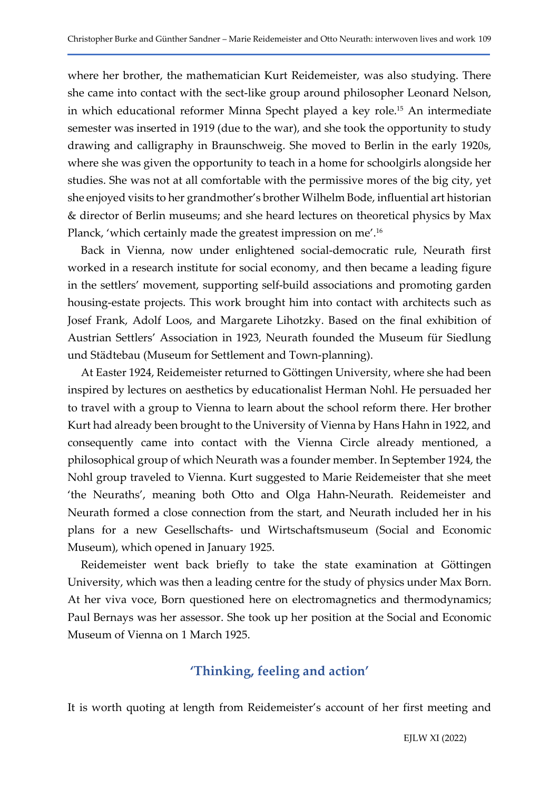where her brother, the mathematician Kurt Reidemeister, was also studying. There she came into contact with the sect-like group around philosopher Leonard Nelson, in which educational reformer Minna Specht played a key role.15 An intermediate semester was inserted in 1919 (due to the war), and she took the opportunity to study drawing and calligraphy in Braunschweig. She moved to Berlin in the early 1920s, where she was given the opportunity to teach in a home for schoolgirls alongside her studies. She was not at all comfortable with the permissive mores of the big city, yet she enjoyed visits to her grandmother's brother Wilhelm Bode, influential art historian & director of Berlin museums; and she heard lectures on theoretical physics by Max Planck, 'which certainly made the greatest impression on me'.<sup>16</sup>

Back in Vienna, now under enlightened social-democratic rule, Neurath first worked in a research institute for social economy, and then became a leading figure in the settlers' movement, supporting self-build associations and promoting garden housing-estate projects. This work brought him into contact with architects such as Josef Frank, Adolf Loos, and Margarete Lihotzky. Based on the final exhibition of Austrian Settlers' Association in 1923, Neurath founded the Museum für Siedlung und Städtebau (Museum for Settlement and Town-planning).

At Easter 1924, Reidemeister returned to Göttingen University, where she had been inspired by lectures on aesthetics by educationalist Herman Nohl. He persuaded her to travel with a group to Vienna to learn about the school reform there. Her brother Kurt had already been brought to the University of Vienna by Hans Hahn in 1922, and consequently came into contact with the Vienna Circle already mentioned, a philosophical group of which Neurath was a founder member. In September 1924, the Nohl group traveled to Vienna. Kurt suggested to Marie Reidemeister that she meet 'the Neuraths', meaning both Otto and Olga Hahn-Neurath. Reidemeister and Neurath formed a close connection from the start, and Neurath included her in his plans for a new Gesellschafts- und Wirtschaftsmuseum (Social and Economic Museum), which opened in January 1925.

Reidemeister went back briefly to take the state examination at Göttingen University, which was then a leading centre for the study of physics under Max Born. At her viva voce, Born questioned here on electromagnetics and thermodynamics; Paul Bernays was her assessor. She took up her position at the Social and Economic Museum of Vienna on 1 March 1925.

### 'Thinking, feeling and action'

It is worth quoting at length from Reidemeister's account of her first meeting and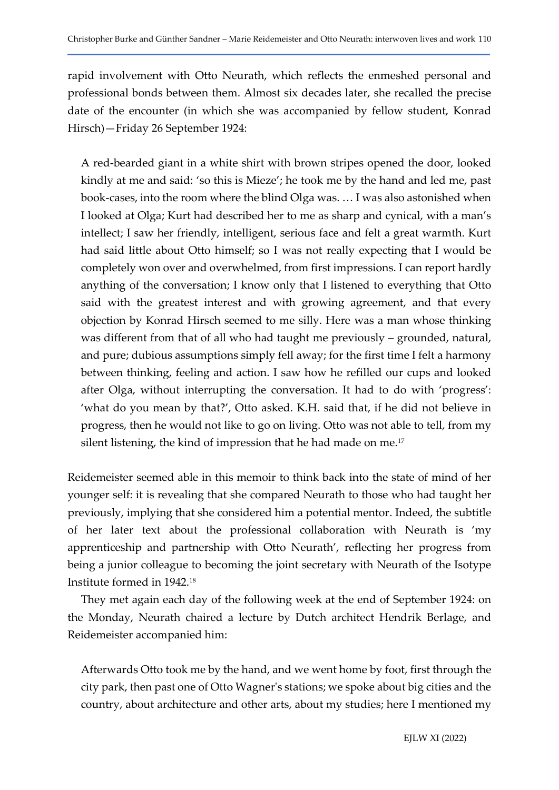rapid involvement with Otto Neurath, which reflects the enmeshed personal and professional bonds between them. Almost six decades later, she recalled the precise date of the encounter (in which she was accompanied by fellow student, Konrad Hirsch)—Friday 26 September 1924:

A red-bearded giant in a white shirt with brown stripes opened the door, looked kindly at me and said: 'so this is Mieze'; he took me by the hand and led me, past book-cases, into the room where the blind Olga was. … I was also astonished when I looked at Olga; Kurt had described her to me as sharp and cynical, with a man's intellect; I saw her friendly, intelligent, serious face and felt a great warmth. Kurt had said little about Otto himself; so I was not really expecting that I would be completely won over and overwhelmed, from first impressions. I can report hardly anything of the conversation; I know only that I listened to everything that Otto said with the greatest interest and with growing agreement, and that every objection by Konrad Hirsch seemed to me silly. Here was a man whose thinking was different from that of all who had taught me previously – grounded, natural, and pure; dubious assumptions simply fell away; for the first time I felt a harmony between thinking, feeling and action. I saw how he refilled our cups and looked after Olga, without interrupting the conversation. It had to do with 'progress': 'what do you mean by that?', Otto asked. K.H. said that, if he did not believe in progress, then he would not like to go on living. Otto was not able to tell, from my silent listening, the kind of impression that he had made on me.<sup>17</sup>

Reidemeister seemed able in this memoir to think back into the state of mind of her younger self: it is revealing that she compared Neurath to those who had taught her previously, implying that she considered him a potential mentor. Indeed, the subtitle of her later text about the professional collaboration with Neurath is 'my apprenticeship and partnership with Otto Neurath', reflecting her progress from being a junior colleague to becoming the joint secretary with Neurath of the Isotype Institute formed in 1942.<sup>18</sup>

They met again each day of the following week at the end of September 1924: on the Monday, Neurath chaired a lecture by Dutch architect Hendrik Berlage, and Reidemeister accompanied him:

Afterwards Otto took me by the hand, and we went home by foot, first through the city park, then past one of Otto Wagner's stations; we spoke about big cities and the country, about architecture and other arts, about my studies; here I mentioned my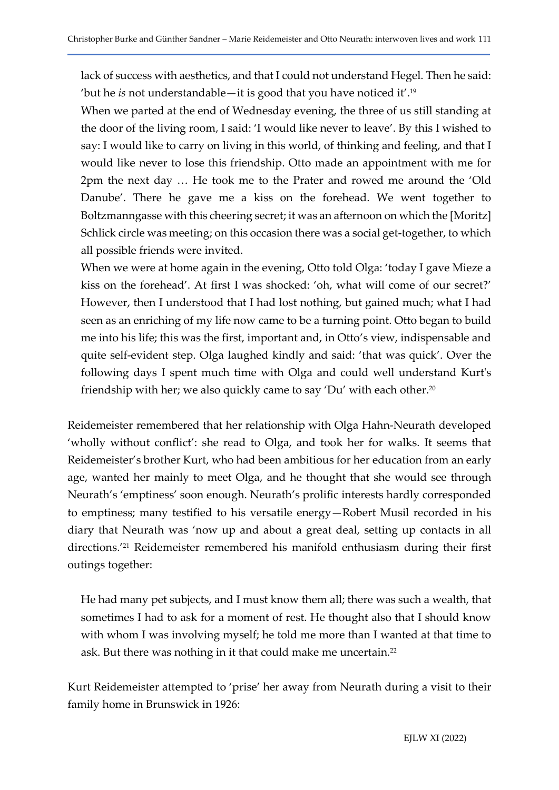lack of success with aesthetics, and that I could not understand Hegel. Then he said: 'but he *is* not understandable—it is good that you have noticed it'.<sup>19</sup>

When we parted at the end of Wednesday evening, the three of us still standing at the door of the living room, I said: 'I would like never to leave'. By this I wished to say: I would like to carry on living in this world, of thinking and feeling, and that I would like never to lose this friendship. Otto made an appointment with me for 2pm the next day … He took me to the Prater and rowed me around the 'Old Danube'. There he gave me a kiss on the forehead. We went together to Boltzmanngasse with this cheering secret; it was an afternoon on which the [Moritz] Schlick circle was meeting; on this occasion there was a social get-together, to which all possible friends were invited.

When we were at home again in the evening, Otto told Olga: 'today I gave Mieze a kiss on the forehead'. At first I was shocked: 'oh, what will come of our secret?' However, then I understood that I had lost nothing, but gained much; what I had seen as an enriching of my life now came to be a turning point. Otto began to build me into his life; this was the first, important and, in Otto's view, indispensable and quite self-evident step. Olga laughed kindly and said: 'that was quick'. Over the following days I spent much time with Olga and could well understand Kurt's friendship with her; we also quickly came to say 'Du' with each other.<sup>20</sup>

Reidemeister remembered that her relationship with Olga Hahn-Neurath developed 'wholly without conflict': she read to Olga, and took her for walks. It seems that Reidemeister's brother Kurt, who had been ambitious for her education from an early age, wanted her mainly to meet Olga, and he thought that she would see through Neurath's 'emptiness' soon enough. Neurath's prolific interests hardly corresponded to emptiness; many testified to his versatile energy—Robert Musil recorded in his diary that Neurath was 'now up and about a great deal, setting up contacts in all directions.'21 Reidemeister remembered his manifold enthusiasm during their first outings together:

He had many pet subjects, and I must know them all; there was such a wealth, that sometimes I had to ask for a moment of rest. He thought also that I should know with whom I was involving myself; he told me more than I wanted at that time to ask. But there was nothing in it that could make me uncertain.<sup>22</sup>

Kurt Reidemeister attempted to 'prise' her away from Neurath during a visit to their family home in Brunswick in 1926: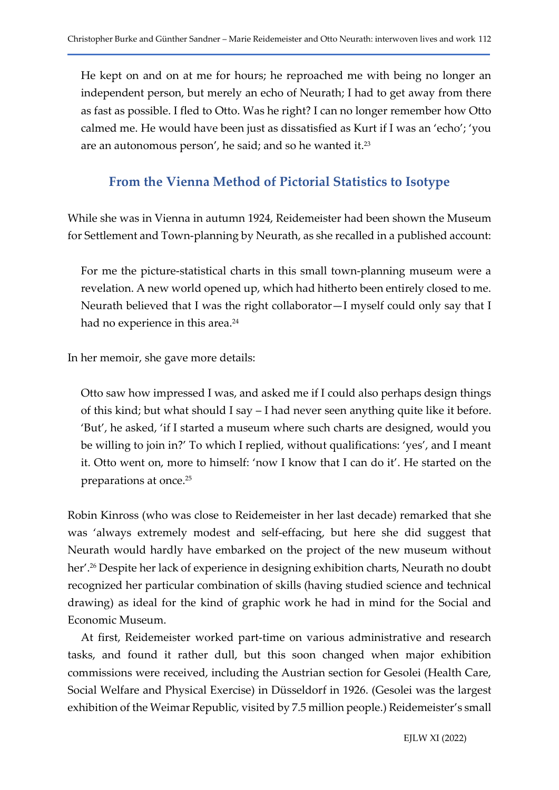He kept on and on at me for hours; he reproached me with being no longer an independent person, but merely an echo of Neurath; I had to get away from there as fast as possible. I fled to Otto. Was he right? I can no longer remember how Otto calmed me. He would have been just as dissatisfied as Kurt if I was an 'echo'; 'you are an autonomous person', he said; and so he wanted it.<sup>23</sup>

# From the Vienna Method of Pictorial Statistics to Isotype

While she was in Vienna in autumn 1924, Reidemeister had been shown the Museum for Settlement and Town-planning by Neurath, as she recalled in a published account:

For me the picture-statistical charts in this small town-planning museum were a revelation. A new world opened up, which had hitherto been entirely closed to me. Neurath believed that I was the right collaborator—I myself could only say that I had no experience in this area.<sup>24</sup>

In her memoir, she gave more details:

Otto saw how impressed I was, and asked me if I could also perhaps design things of this kind; but what should I say – I had never seen anything quite like it before. 'But', he asked, 'if I started a museum where such charts are designed, would you be willing to join in?' To which I replied, without qualifications: 'yes', and I meant it. Otto went on, more to himself: 'now I know that I can do it'. He started on the preparations at once.<sup>25</sup>

Robin Kinross (who was close to Reidemeister in her last decade) remarked that she was 'always extremely modest and self-effacing, but here she did suggest that Neurath would hardly have embarked on the project of the new museum without her'.<sup>26</sup> Despite her lack of experience in designing exhibition charts, Neurath no doubt recognized her particular combination of skills (having studied science and technical drawing) as ideal for the kind of graphic work he had in mind for the Social and Economic Museum.

At first, Reidemeister worked part-time on various administrative and research tasks, and found it rather dull, but this soon changed when major exhibition commissions were received, including the Austrian section for Gesolei (Health Care, Social Welfare and Physical Exercise) in Düsseldorf in 1926. (Gesolei was the largest exhibition of the Weimar Republic, visited by 7.5 million people.) Reidemeister's small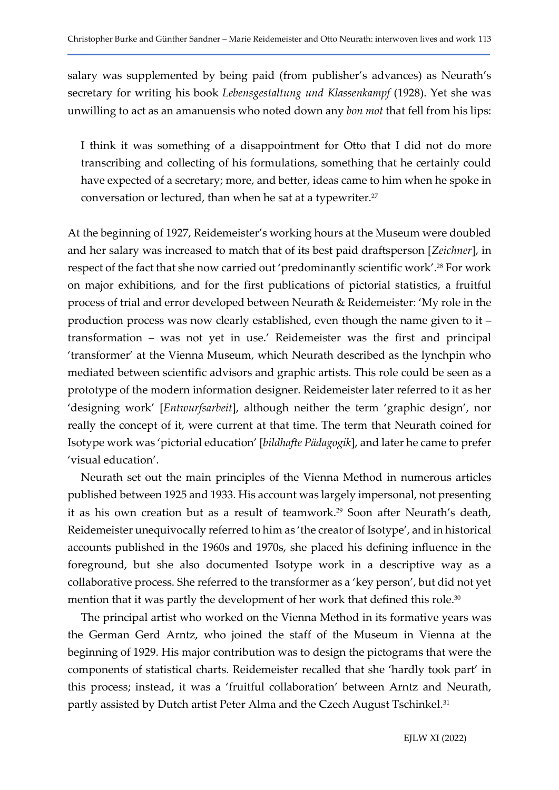salary was supplemented by being paid (from publisher's advances) as Neurath's secretary for writing his book Lebensgestaltung und Klassenkampf (1928). Yet she was unwilling to act as an amanuensis who noted down any bon mot that fell from his lips:

I think it was something of a disappointment for Otto that I did not do more transcribing and collecting of his formulations, something that he certainly could have expected of a secretary; more, and better, ideas came to him when he spoke in conversation or lectured, than when he sat at a typewriter.<sup>27</sup>

At the beginning of 1927, Reidemeister's working hours at the Museum were doubled and her salary was increased to match that of its best paid draftsperson [Zeichner], in respect of the fact that she now carried out 'predominantly scientific work'.28 For work on major exhibitions, and for the first publications of pictorial statistics, a fruitful process of trial and error developed between Neurath & Reidemeister: 'My role in the production process was now clearly established, even though the name given to it – transformation – was not yet in use.' Reidemeister was the first and principal 'transformer' at the Vienna Museum, which Neurath described as the lynchpin who mediated between scientific advisors and graphic artists. This role could be seen as a prototype of the modern information designer. Reidemeister later referred to it as her 'designing work' [Entwurfsarbeit], although neither the term 'graphic design', nor really the concept of it, were current at that time. The term that Neurath coined for Isotype work was 'pictorial education' [bildhafte Pädagogik], and later he came to prefer 'visual education'.

Neurath set out the main principles of the Vienna Method in numerous articles published between 1925 and 1933. His account was largely impersonal, not presenting it as his own creation but as a result of teamwork.<sup>29</sup> Soon after Neurath's death, Reidemeister unequivocally referred to him as 'the creator of Isotype', and in historical accounts published in the 1960s and 1970s, she placed his defining influence in the foreground, but she also documented Isotype work in a descriptive way as a collaborative process. She referred to the transformer as a 'key person', but did not yet mention that it was partly the development of her work that defined this role.<sup>30</sup>

The principal artist who worked on the Vienna Method in its formative years was the German Gerd Arntz, who joined the staff of the Museum in Vienna at the beginning of 1929. His major contribution was to design the pictograms that were the components of statistical charts. Reidemeister recalled that she 'hardly took part' in this process; instead, it was a 'fruitful collaboration' between Arntz and Neurath, partly assisted by Dutch artist Peter Alma and the Czech August Tschinkel.<sup>31</sup>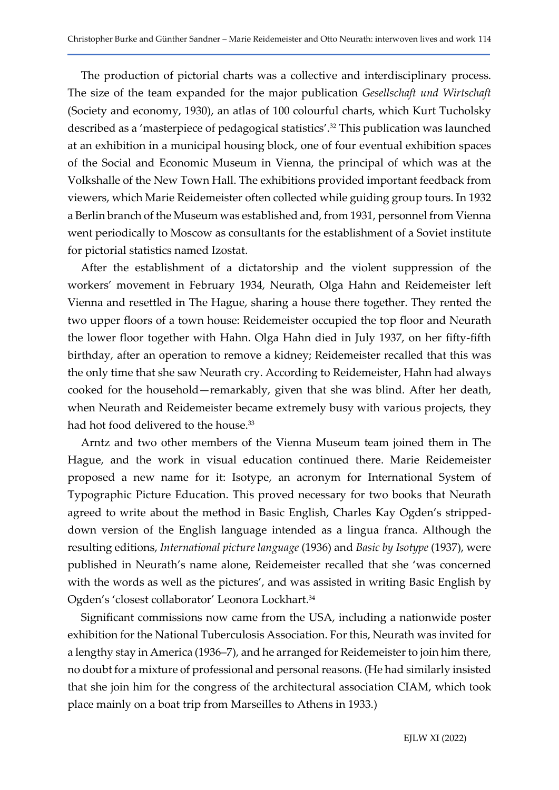The production of pictorial charts was a collective and interdisciplinary process. The size of the team expanded for the major publication Gesellschaft und Wirtschaft (Society and economy, 1930), an atlas of 100 colourful charts, which Kurt Tucholsky described as a 'masterpiece of pedagogical statistics'.32 This publication was launched at an exhibition in a municipal housing block, one of four eventual exhibition spaces of the Social and Economic Museum in Vienna, the principal of which was at the Volkshalle of the New Town Hall. The exhibitions provided important feedback from viewers, which Marie Reidemeister often collected while guiding group tours. In 1932 a Berlin branch of the Museum was established and, from 1931, personnel from Vienna went periodically to Moscow as consultants for the establishment of a Soviet institute for pictorial statistics named Izostat.

After the establishment of a dictatorship and the violent suppression of the workers' movement in February 1934, Neurath, Olga Hahn and Reidemeister left Vienna and resettled in The Hague, sharing a house there together. They rented the two upper floors of a town house: Reidemeister occupied the top floor and Neurath the lower floor together with Hahn. Olga Hahn died in July 1937, on her fifty-fifth birthday, after an operation to remove a kidney; Reidemeister recalled that this was the only time that she saw Neurath cry. According to Reidemeister, Hahn had always cooked for the household—remarkably, given that she was blind. After her death, when Neurath and Reidemeister became extremely busy with various projects, they had hot food delivered to the house.<sup>33</sup>

Arntz and two other members of the Vienna Museum team joined them in The Hague, and the work in visual education continued there. Marie Reidemeister proposed a new name for it: Isotype, an acronym for International System of Typographic Picture Education. This proved necessary for two books that Neurath agreed to write about the method in Basic English, Charles Kay Ogden's strippeddown version of the English language intended as a lingua franca. Although the resulting editions, International picture language (1936) and Basic by Isotype (1937), were published in Neurath's name alone, Reidemeister recalled that she 'was concerned with the words as well as the pictures', and was assisted in writing Basic English by Ogden's 'closest collaborator' Leonora Lockhart.<sup>34</sup>

Significant commissions now came from the USA, including a nationwide poster exhibition for the National Tuberculosis Association. For this, Neurath was invited for a lengthy stay in America (1936–7), and he arranged for Reidemeister to join him there, no doubt for a mixture of professional and personal reasons. (He had similarly insisted that she join him for the congress of the architectural association CIAM, which took place mainly on a boat trip from Marseilles to Athens in 1933.)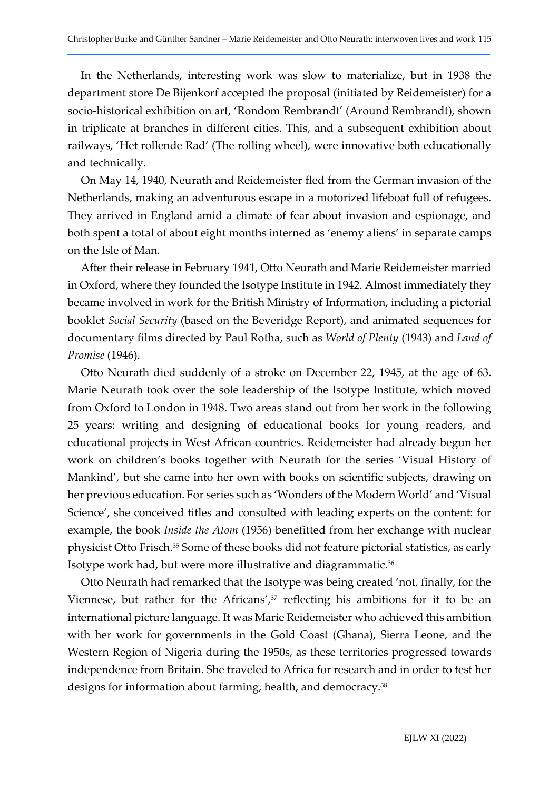In the Netherlands, interesting work was slow to materialize, but in 1938 the department store De Bijenkorf accepted the proposal (initiated by Reidemeister) for a socio-historical exhibition on art, 'Rondom Rembrandt' (Around Rembrandt), shown in triplicate at branches in different cities. This, and a subsequent exhibition about railways, 'Het rollende Rad' (The rolling wheel), were innovative both educationally and technically.

On May 14, 1940, Neurath and Reidemeister fled from the German invasion of the Netherlands, making an adventurous escape in a motorized lifeboat full of refugees. They arrived in England amid a climate of fear about invasion and espionage, and both spent a total of about eight months interned as 'enemy aliens' in separate camps on the Isle of Man.

After their release in February 1941, Otto Neurath and Marie Reidemeister married in Oxford, where they founded the Isotype Institute in 1942. Almost immediately they became involved in work for the British Ministry of Information, including a pictorial booklet Social Security (based on the Beveridge Report), and animated sequences for documentary films directed by Paul Rotha, such as World of Plenty (1943) and Land of Promise (1946).

Otto Neurath died suddenly of a stroke on December 22, 1945, at the age of 63. Marie Neurath took over the sole leadership of the Isotype Institute, which moved from Oxford to London in 1948. Two areas stand out from her work in the following 25 years: writing and designing of educational books for young readers, and educational projects in West African countries. Reidemeister had already begun her work on children's books together with Neurath for the series 'Visual History of Mankind', but she came into her own with books on scientific subjects, drawing on her previous education. For series such as 'Wonders of the Modern World' and 'Visual Science', she conceived titles and consulted with leading experts on the content: for example, the book Inside the Atom (1956) benefitted from her exchange with nuclear physicist Otto Frisch.35 Some of these books did not feature pictorial statistics, as early Isotype work had, but were more illustrative and diagrammatic.<sup>36</sup>

Otto Neurath had remarked that the Isotype was being created 'not, finally, for the Viennese, but rather for the Africans', $37$  reflecting his ambitions for it to be an international picture language. It was Marie Reidemeister who achieved this ambition with her work for governments in the Gold Coast (Ghana), Sierra Leone, and the Western Region of Nigeria during the 1950s, as these territories progressed towards independence from Britain. She traveled to Africa for research and in order to test her designs for information about farming, health, and democracy.<sup>38</sup>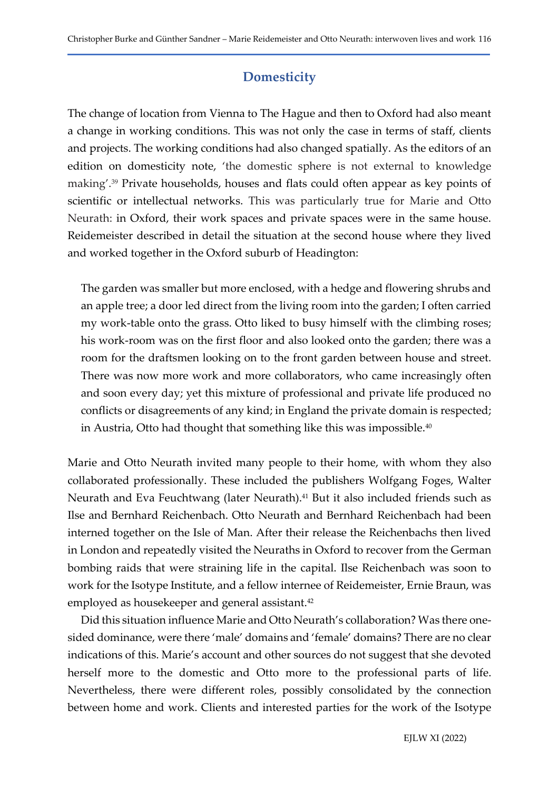# **Domesticity**

The change of location from Vienna to The Hague and then to Oxford had also meant a change in working conditions. This was not only the case in terms of staff, clients and projects. The working conditions had also changed spatially. As the editors of an edition on domesticity note, 'the domestic sphere is not external to knowledge making'.<sup>39</sup> Private households, houses and flats could often appear as key points of scientific or intellectual networks. This was particularly true for Marie and Otto Neurath: in Oxford, their work spaces and private spaces were in the same house. Reidemeister described in detail the situation at the second house where they lived and worked together in the Oxford suburb of Headington:

The garden was smaller but more enclosed, with a hedge and flowering shrubs and an apple tree; a door led direct from the living room into the garden; I often carried my work-table onto the grass. Otto liked to busy himself with the climbing roses; his work-room was on the first floor and also looked onto the garden; there was a room for the draftsmen looking on to the front garden between house and street. There was now more work and more collaborators, who came increasingly often and soon every day; yet this mixture of professional and private life produced no conflicts or disagreements of any kind; in England the private domain is respected; in Austria, Otto had thought that something like this was impossible.<sup>40</sup>

Marie and Otto Neurath invited many people to their home, with whom they also collaborated professionally. These included the publishers Wolfgang Foges, Walter Neurath and Eva Feuchtwang (later Neurath).<sup>41</sup> But it also included friends such as Ilse and Bernhard Reichenbach. Otto Neurath and Bernhard Reichenbach had been interned together on the Isle of Man. After their release the Reichenbachs then lived in London and repeatedly visited the Neuraths in Oxford to recover from the German bombing raids that were straining life in the capital. Ilse Reichenbach was soon to work for the Isotype Institute, and a fellow internee of Reidemeister, Ernie Braun, was employed as housekeeper and general assistant.<sup>42</sup>

Did this situation influence Marie and Otto Neurath's collaboration? Was there onesided dominance, were there 'male' domains and 'female' domains? There are no clear indications of this. Marie's account and other sources do not suggest that she devoted herself more to the domestic and Otto more to the professional parts of life. Nevertheless, there were different roles, possibly consolidated by the connection between home and work. Clients and interested parties for the work of the Isotype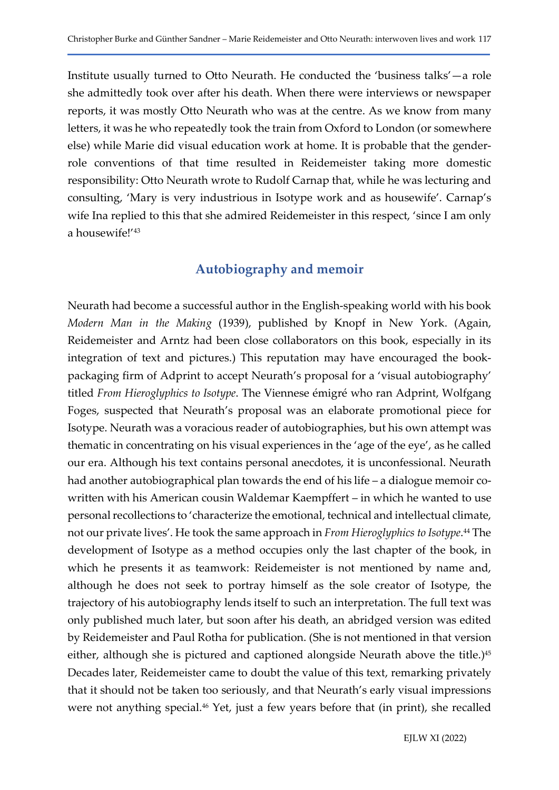Institute usually turned to Otto Neurath. He conducted the 'business talks'—a role she admittedly took over after his death. When there were interviews or newspaper reports, it was mostly Otto Neurath who was at the centre. As we know from many letters, it was he who repeatedly took the train from Oxford to London (or somewhere else) while Marie did visual education work at home. It is probable that the genderrole conventions of that time resulted in Reidemeister taking more domestic responsibility: Otto Neurath wrote to Rudolf Carnap that, while he was lecturing and consulting, 'Mary is very industrious in Isotype work and as housewife'. Carnap's wife Ina replied to this that she admired Reidemeister in this respect, 'since I am only a housewife!'<sup>43</sup>

# Autobiography and memoir

Neurath had become a successful author in the English-speaking world with his book Modern Man in the Making (1939), published by Knopf in New York. (Again, Reidemeister and Arntz had been close collaborators on this book, especially in its integration of text and pictures.) This reputation may have encouraged the bookpackaging firm of Adprint to accept Neurath's proposal for a 'visual autobiography' titled From Hieroglyphics to Isotype. The Viennese émigré who ran Adprint, Wolfgang Foges, suspected that Neurath's proposal was an elaborate promotional piece for Isotype. Neurath was a voracious reader of autobiographies, but his own attempt was thematic in concentrating on his visual experiences in the 'age of the eye', as he called our era. Although his text contains personal anecdotes, it is unconfessional. Neurath had another autobiographical plan towards the end of his life – a dialogue memoir cowritten with his American cousin Waldemar Kaempffert – in which he wanted to use personal recollections to 'characterize the emotional, technical and intellectual climate, not our private lives'. He took the same approach in *From Hieroglyphics to Isotype*.<sup>44</sup> The development of Isotype as a method occupies only the last chapter of the book, in which he presents it as teamwork: Reidemeister is not mentioned by name and, although he does not seek to portray himself as the sole creator of Isotype, the trajectory of his autobiography lends itself to such an interpretation. The full text was only published much later, but soon after his death, an abridged version was edited by Reidemeister and Paul Rotha for publication. (She is not mentioned in that version either, although she is pictured and captioned alongside Neurath above the title.)<sup>45</sup> Decades later, Reidemeister came to doubt the value of this text, remarking privately that it should not be taken too seriously, and that Neurath's early visual impressions were not anything special.<sup>46</sup> Yet, just a few years before that (in print), she recalled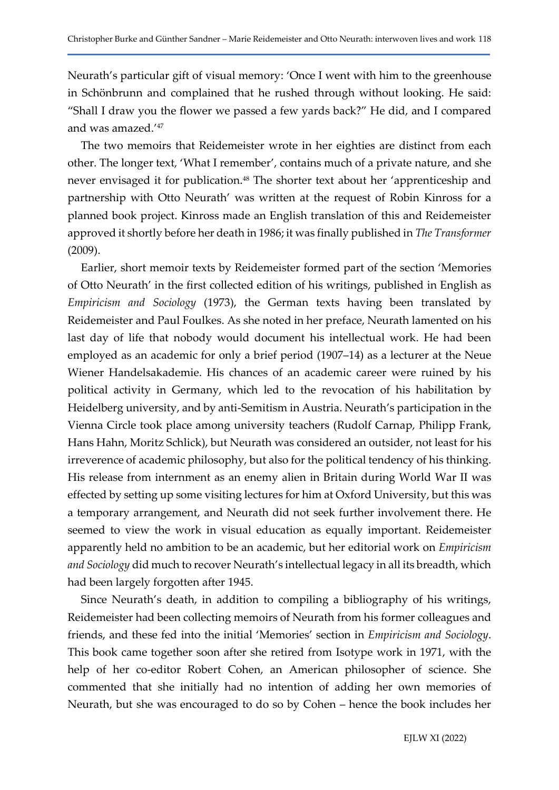Neurath's particular gift of visual memory: 'Once I went with him to the greenhouse in Schönbrunn and complained that he rushed through without looking. He said: "Shall I draw you the flower we passed a few yards back?" He did, and I compared and was amazed.'<sup>47</sup>

The two memoirs that Reidemeister wrote in her eighties are distinct from each other. The longer text, 'What I remember', contains much of a private nature, and she never envisaged it for publication.<sup>48</sup> The shorter text about her 'apprenticeship and partnership with Otto Neurath' was written at the request of Robin Kinross for a planned book project. Kinross made an English translation of this and Reidemeister approved it shortly before her death in 1986; it was finally published in The Transformer (2009).

Earlier, short memoir texts by Reidemeister formed part of the section 'Memories of Otto Neurath' in the first collected edition of his writings, published in English as Empiricism and Sociology (1973), the German texts having been translated by Reidemeister and Paul Foulkes. As she noted in her preface, Neurath lamented on his last day of life that nobody would document his intellectual work. He had been employed as an academic for only a brief period (1907–14) as a lecturer at the Neue Wiener Handelsakademie. His chances of an academic career were ruined by his political activity in Germany, which led to the revocation of his habilitation by Heidelberg university, and by anti-Semitism in Austria. Neurath's participation in the Vienna Circle took place among university teachers (Rudolf Carnap, Philipp Frank, Hans Hahn, Moritz Schlick), but Neurath was considered an outsider, not least for his irreverence of academic philosophy, but also for the political tendency of his thinking. His release from internment as an enemy alien in Britain during World War II was effected by setting up some visiting lectures for him at Oxford University, but this was a temporary arrangement, and Neurath did not seek further involvement there. He seemed to view the work in visual education as equally important. Reidemeister apparently held no ambition to be an academic, but her editorial work on Empiricism and Sociology did much to recover Neurath's intellectual legacy in all its breadth, which had been largely forgotten after 1945.

Since Neurath's death, in addition to compiling a bibliography of his writings, Reidemeister had been collecting memoirs of Neurath from his former colleagues and friends, and these fed into the initial 'Memories' section in Empiricism and Sociology. This book came together soon after she retired from Isotype work in 1971, with the help of her co-editor Robert Cohen, an American philosopher of science. She commented that she initially had no intention of adding her own memories of Neurath, but she was encouraged to do so by Cohen – hence the book includes her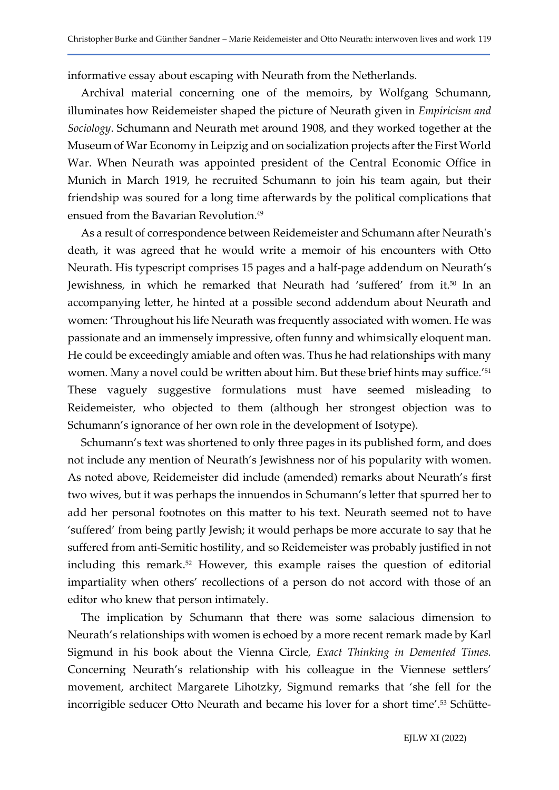informative essay about escaping with Neurath from the Netherlands.

Archival material concerning one of the memoirs, by Wolfgang Schumann, illuminates how Reidemeister shaped the picture of Neurath given in Empiricism and Sociology. Schumann and Neurath met around 1908, and they worked together at the Museum of War Economy in Leipzig and on socialization projects after the First World War. When Neurath was appointed president of the Central Economic Office in Munich in March 1919, he recruited Schumann to join his team again, but their friendship was soured for a long time afterwards by the political complications that ensued from the Bavarian Revolution.<sup>49</sup>

As a result of correspondence between Reidemeister and Schumann after Neurath's death, it was agreed that he would write a memoir of his encounters with Otto Neurath. His typescript comprises 15 pages and a half-page addendum on Neurath's Jewishness, in which he remarked that Neurath had 'suffered' from it.<sup>50</sup> In an accompanying letter, he hinted at a possible second addendum about Neurath and women: 'Throughout his life Neurath was frequently associated with women. He was passionate and an immensely impressive, often funny and whimsically eloquent man. He could be exceedingly amiable and often was. Thus he had relationships with many women. Many a novel could be written about him. But these brief hints may suffice.'<sup>51</sup> These vaguely suggestive formulations must have seemed misleading to Reidemeister, who objected to them (although her strongest objection was to Schumann's ignorance of her own role in the development of Isotype).

Schumann's text was shortened to only three pages in its published form, and does not include any mention of Neurath's Jewishness nor of his popularity with women. As noted above, Reidemeister did include (amended) remarks about Neurath's first two wives, but it was perhaps the innuendos in Schumann's letter that spurred her to add her personal footnotes on this matter to his text. Neurath seemed not to have 'suffered' from being partly Jewish; it would perhaps be more accurate to say that he suffered from anti-Semitic hostility, and so Reidemeister was probably justified in not including this remark.<sup>52</sup> However, this example raises the question of editorial impartiality when others' recollections of a person do not accord with those of an editor who knew that person intimately.

The implication by Schumann that there was some salacious dimension to Neurath's relationships with women is echoed by a more recent remark made by Karl Sigmund in his book about the Vienna Circle, Exact Thinking in Demented Times. Concerning Neurath's relationship with his colleague in the Viennese settlers' movement, architect Margarete Lihotzky, Sigmund remarks that 'she fell for the incorrigible seducer Otto Neurath and became his lover for a short time'.<sup>53</sup> Schütte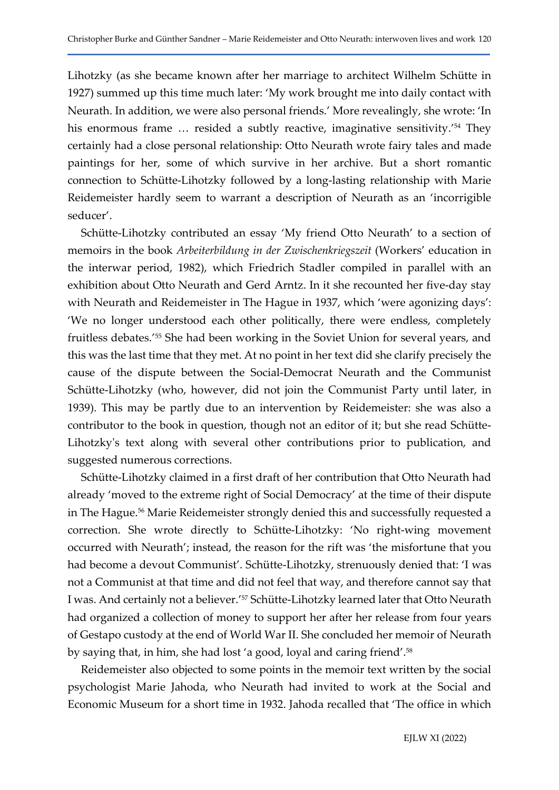Lihotzky (as she became known after her marriage to architect Wilhelm Schütte in 1927) summed up this time much later: 'My work brought me into daily contact with Neurath. In addition, we were also personal friends.' More revealingly, she wrote: 'In his enormous frame ... resided a subtly reactive, imaginative sensitivity.<sup>'54</sup> They certainly had a close personal relationship: Otto Neurath wrote fairy tales and made paintings for her, some of which survive in her archive. But a short romantic connection to Schütte-Lihotzky followed by a long-lasting relationship with Marie Reidemeister hardly seem to warrant a description of Neurath as an 'incorrigible seducer'.

Schütte-Lihotzky contributed an essay 'My friend Otto Neurath' to a section of memoirs in the book Arbeiterbildung in der Zwischenkriegszeit (Workers' education in the interwar period, 1982), which Friedrich Stadler compiled in parallel with an exhibition about Otto Neurath and Gerd Arntz. In it she recounted her five-day stay with Neurath and Reidemeister in The Hague in 1937, which 'were agonizing days': 'We no longer understood each other politically, there were endless, completely fruitless debates.'55 She had been working in the Soviet Union for several years, and this was the last time that they met. At no point in her text did she clarify precisely the cause of the dispute between the Social-Democrat Neurath and the Communist Schütte-Lihotzky (who, however, did not join the Communist Party until later, in 1939). This may be partly due to an intervention by Reidemeister: she was also a contributor to the book in question, though not an editor of it; but she read Schütte-Lihotzky's text along with several other contributions prior to publication, and suggested numerous corrections.

Schütte-Lihotzky claimed in a first draft of her contribution that Otto Neurath had already 'moved to the extreme right of Social Democracy' at the time of their dispute in The Hague.<sup>56</sup> Marie Reidemeister strongly denied this and successfully requested a correction. She wrote directly to Schütte-Lihotzky: 'No right-wing movement occurred with Neurath'; instead, the reason for the rift was 'the misfortune that you had become a devout Communist'. Schütte-Lihotzky, strenuously denied that: 'I was not a Communist at that time and did not feel that way, and therefore cannot say that I was. And certainly not a believer.'57 Schütte-Lihotzky learned later that Otto Neurath had organized a collection of money to support her after her release from four years of Gestapo custody at the end of World War II. She concluded her memoir of Neurath by saying that, in him, she had lost 'a good, loyal and caring friend'.<sup>58</sup>

Reidemeister also objected to some points in the memoir text written by the social psychologist Marie Jahoda, who Neurath had invited to work at the Social and Economic Museum for a short time in 1932. Jahoda recalled that 'The office in which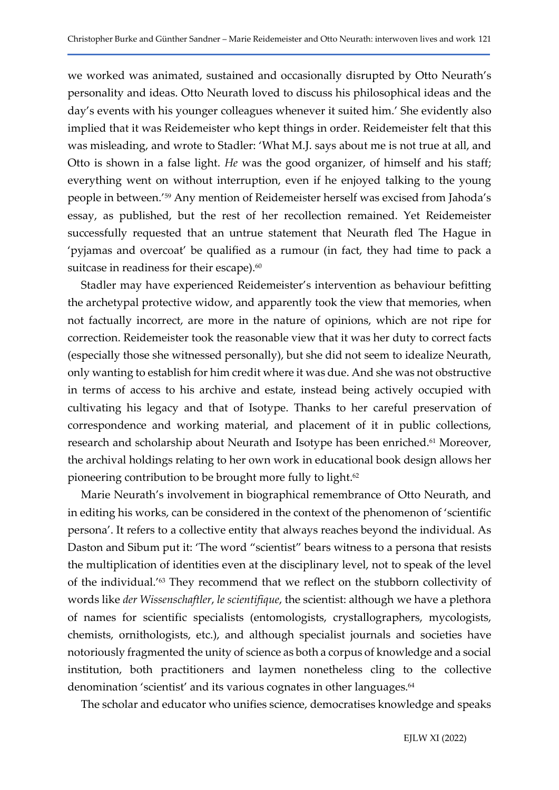we worked was animated, sustained and occasionally disrupted by Otto Neurath's personality and ideas. Otto Neurath loved to discuss his philosophical ideas and the day's events with his younger colleagues whenever it suited him.' She evidently also implied that it was Reidemeister who kept things in order. Reidemeister felt that this was misleading, and wrote to Stadler: 'What M.J. says about me is not true at all, and Otto is shown in a false light. He was the good organizer, of himself and his staff; everything went on without interruption, even if he enjoyed talking to the young people in between.'59 Any mention of Reidemeister herself was excised from Jahoda's essay, as published, but the rest of her recollection remained. Yet Reidemeister successfully requested that an untrue statement that Neurath fled The Hague in 'pyjamas and overcoat' be qualified as a rumour (in fact, they had time to pack a suitcase in readiness for their escape).<sup>60</sup>

Stadler may have experienced Reidemeister's intervention as behaviour befitting the archetypal protective widow, and apparently took the view that memories, when not factually incorrect, are more in the nature of opinions, which are not ripe for correction. Reidemeister took the reasonable view that it was her duty to correct facts (especially those she witnessed personally), but she did not seem to idealize Neurath, only wanting to establish for him credit where it was due. And she was not obstructive in terms of access to his archive and estate, instead being actively occupied with cultivating his legacy and that of Isotype. Thanks to her careful preservation of correspondence and working material, and placement of it in public collections, research and scholarship about Neurath and Isotype has been enriched.<sup>61</sup> Moreover, the archival holdings relating to her own work in educational book design allows her pioneering contribution to be brought more fully to light.<sup>62</sup>

Marie Neurath's involvement in biographical remembrance of Otto Neurath, and in editing his works, can be considered in the context of the phenomenon of 'scientific persona'. It refers to a collective entity that always reaches beyond the individual. As Daston and Sibum put it: 'The word "scientist" bears witness to a persona that resists the multiplication of identities even at the disciplinary level, not to speak of the level of the individual.'63 They recommend that we reflect on the stubborn collectivity of words like der Wissenschaftler, le scientifique, the scientist: although we have a plethora of names for scientific specialists (entomologists, crystallographers, mycologists, chemists, ornithologists, etc.), and although specialist journals and societies have notoriously fragmented the unity of science as both a corpus of knowledge and a social institution, both practitioners and laymen nonetheless cling to the collective denomination 'scientist' and its various cognates in other languages.<sup>64</sup>

The scholar and educator who unifies science, democratises knowledge and speaks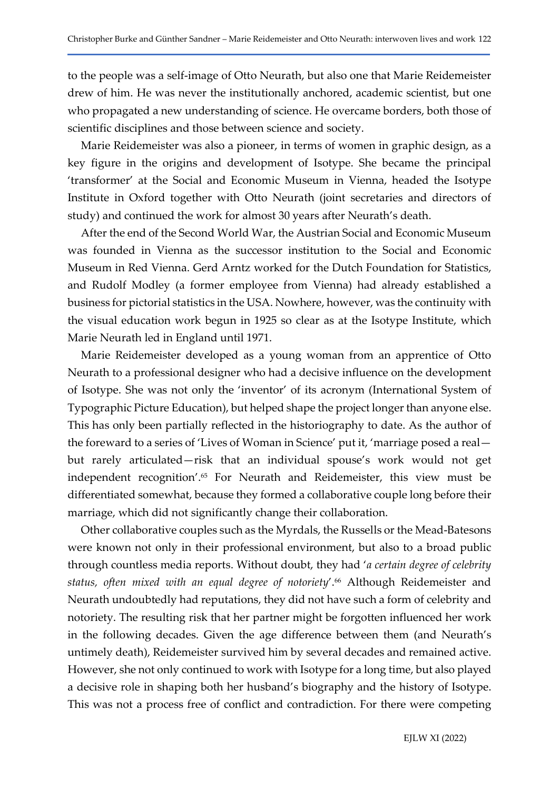to the people was a self-image of Otto Neurath, but also one that Marie Reidemeister drew of him. He was never the institutionally anchored, academic scientist, but one who propagated a new understanding of science. He overcame borders, both those of scientific disciplines and those between science and society.

Marie Reidemeister was also a pioneer, in terms of women in graphic design, as a key figure in the origins and development of Isotype. She became the principal 'transformer' at the Social and Economic Museum in Vienna, headed the Isotype Institute in Oxford together with Otto Neurath (joint secretaries and directors of study) and continued the work for almost 30 years after Neurath's death.

After the end of the Second World War, the Austrian Social and Economic Museum was founded in Vienna as the successor institution to the Social and Economic Museum in Red Vienna. Gerd Arntz worked for the Dutch Foundation for Statistics, and Rudolf Modley (a former employee from Vienna) had already established a business for pictorial statistics in the USA. Nowhere, however, was the continuity with the visual education work begun in 1925 so clear as at the Isotype Institute, which Marie Neurath led in England until 1971.

Marie Reidemeister developed as a young woman from an apprentice of Otto Neurath to a professional designer who had a decisive influence on the development of Isotype. She was not only the 'inventor' of its acronym (International System of Typographic Picture Education), but helped shape the project longer than anyone else. This has only been partially reflected in the historiography to date. As the author of the foreward to a series of 'Lives of Woman in Science' put it, 'marriage posed a real but rarely articulated—risk that an individual spouse's work would not get independent recognition'.65 For Neurath and Reidemeister, this view must be differentiated somewhat, because they formed a collaborative couple long before their marriage, which did not significantly change their collaboration.

Other collaborative couples such as the Myrdals, the Russells or the Mead-Batesons were known not only in their professional environment, but also to a broad public through countless media reports. Without doubt, they had 'a certain degree of celebrity status, often mixed with an equal degree of notoriety'.<sup>66</sup> Although Reidemeister and Neurath undoubtedly had reputations, they did not have such a form of celebrity and notoriety. The resulting risk that her partner might be forgotten influenced her work in the following decades. Given the age difference between them (and Neurath's untimely death), Reidemeister survived him by several decades and remained active. However, she not only continued to work with Isotype for a long time, but also played a decisive role in shaping both her husband's biography and the history of Isotype. This was not a process free of conflict and contradiction. For there were competing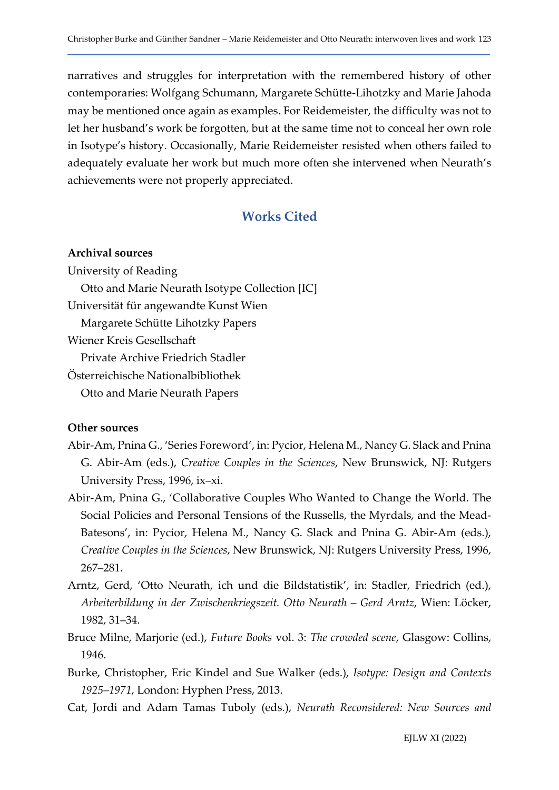narratives and struggles for interpretation with the remembered history of other contemporaries: Wolfgang Schumann, Margarete Schütte-Lihotzky and Marie Jahoda may be mentioned once again as examples. For Reidemeister, the difficulty was not to let her husband's work be forgotten, but at the same time not to conceal her own role in Isotype's history. Occasionally, Marie Reidemeister resisted when others failed to adequately evaluate her work but much more often she intervened when Neurath's achievements were not properly appreciated.

# Works Cited

### Archival sources

University of Reading Otto and Marie Neurath Isotype Collection [IC] Universität für angewandte Kunst Wien Margarete Schütte Lihotzky Papers Wiener Kreis Gesellschaft Private Archive Friedrich Stadler Österreichische Nationalbibliothek Otto and Marie Neurath Papers

#### Other sources

- Abir-Am, Pnina G., 'Series Foreword', in: Pycior, Helena M., Nancy G. Slack and Pnina G. Abir-Am (eds.), Creative Couples in the Sciences, New Brunswick, NJ: Rutgers University Press, 1996, ix–xi.
- Abir-Am, Pnina G., 'Collaborative Couples Who Wanted to Change the World. The Social Policies and Personal Tensions of the Russells, the Myrdals, and the Mead-Batesons', in: Pycior, Helena M., Nancy G. Slack and Pnina G. Abir-Am (eds.), Creative Couples in the Sciences, New Brunswick, NJ: Rutgers University Press, 1996, 267–281.
- Arntz, Gerd, 'Otto Neurath, ich und die Bildstatistik', in: Stadler, Friedrich (ed.), Arbeiterbildung in der Zwischenkriegszeit. Otto Neurath – Gerd Arntz, Wien: Löcker, 1982, 31–34.
- Bruce Milne, Marjorie (ed.), Future Books vol. 3: The crowded scene, Glasgow: Collins, 1946.
- Burke, Christopher, Eric Kindel and Sue Walker (eds.), Isotype: Design and Contexts 1925–1971, London: Hyphen Press, 2013.
- Cat, Jordi and Adam Tamas Tuboly (eds.), Neurath Reconsidered: New Sources and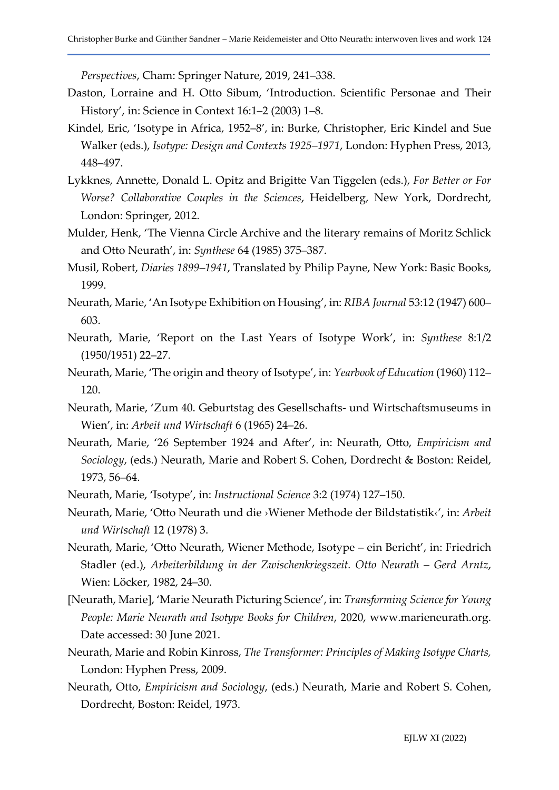Perspectives, Cham: Springer Nature, 2019, 241–338.

- Daston, Lorraine and H. Otto Sibum, 'Introduction. Scientific Personae and Their History', in: Science in Context 16:1–2 (2003) 1–8.
- Kindel, Eric, 'Isotype in Africa, 1952–8', in: Burke, Christopher, Eric Kindel and Sue Walker (eds.), Isotype: Design and Contexts 1925–1971, London: Hyphen Press, 2013, 448–497.
- Lykknes, Annette, Donald L. Opitz and Brigitte Van Tiggelen (eds.), For Better or For Worse? Collaborative Couples in the Sciences, Heidelberg, New York, Dordrecht, London: Springer, 2012.
- Mulder, Henk, 'The Vienna Circle Archive and the literary remains of Moritz Schlick and Otto Neurath', in: Synthese 64 (1985) 375–387.
- Musil, Robert, Diaries 1899–1941, Translated by Philip Payne, New York: Basic Books, 1999.
- Neurath, Marie, 'An Isotype Exhibition on Housing', in: RIBA Journal 53:12 (1947) 600– 603.
- Neurath, Marie, 'Report on the Last Years of Isotype Work', in: Synthese 8:1/2 (1950/1951) 22–27.
- Neurath, Marie, 'The origin and theory of Isotype', in: Yearbook of Education (1960) 112– 120.
- Neurath, Marie, 'Zum 40. Geburtstag des Gesellschafts- und Wirtschaftsmuseums in Wien', in: Arbeit und Wirtschaft 6 (1965) 24–26.
- Neurath, Marie, '26 September 1924 and After', in: Neurath, Otto, Empiricism and Sociology, (eds.) Neurath, Marie and Robert S. Cohen, Dordrecht & Boston: Reidel, 1973, 56–64.
- Neurath, Marie, 'Isotype', in: Instructional Science 3:2 (1974) 127–150.
- Neurath, Marie, 'Otto Neurath und die ›Wiener Methode der Bildstatistik‹', in: Arbeit und Wirtschaft 12 (1978) 3.
- Neurath, Marie, 'Otto Neurath, Wiener Methode, Isotype ein Bericht', in: Friedrich Stadler (ed.), Arbeiterbildung in der Zwischenkriegszeit. Otto Neurath – Gerd Arntz, Wien: Löcker, 1982, 24–30.
- [Neurath, Marie], 'Marie Neurath Picturing Science', in: Transforming Science for Young People: Marie Neurath and Isotype Books for Children, 2020, www.marieneurath.org. Date accessed: 30 June 2021.
- Neurath, Marie and Robin Kinross, The Transformer: Principles of Making Isotype Charts, London: Hyphen Press, 2009.
- Neurath, Otto, Empiricism and Sociology, (eds.) Neurath, Marie and Robert S. Cohen, Dordrecht, Boston: Reidel, 1973.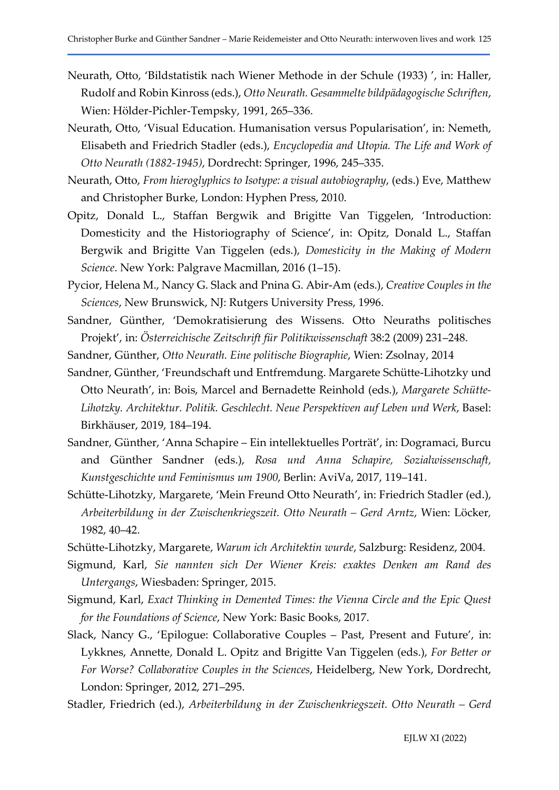- Neurath, Otto, 'Bildstatistik nach Wiener Methode in der Schule (1933) ', in: Haller, Rudolf and Robin Kinross (eds.), Otto Neurath. Gesammelte bildpädagogische Schriften, Wien: Hölder-Pichler-Tempsky, 1991, 265–336.
- Neurath, Otto, 'Visual Education. Humanisation versus Popularisation', in: Nemeth, Elisabeth and Friedrich Stadler (eds.), Encyclopedia and Utopia. The Life and Work of Otto Neurath (1882-1945), Dordrecht: Springer, 1996, 245–335.
- Neurath, Otto, From hieroglyphics to Isotype: a visual autobiography, (eds.) Eve, Matthew and Christopher Burke, London: Hyphen Press, 2010.
- Opitz, Donald L., Staffan Bergwik and Brigitte Van Tiggelen, 'Introduction: Domesticity and the Historiography of Science', in: Opitz, Donald L., Staffan Bergwik and Brigitte Van Tiggelen (eds.), Domesticity in the Making of Modern Science. New York: Palgrave Macmillan, 2016 (1–15).
- Pycior, Helena M., Nancy G. Slack and Pnina G. Abir-Am (eds.), Creative Couples in the Sciences, New Brunswick, NJ: Rutgers University Press, 1996.
- Sandner, Günther, 'Demokratisierung des Wissens. Otto Neuraths politisches Projekt', in: Österreichische Zeitschrift für Politikwissenschaft 38:2 (2009) 231–248.
- Sandner, Günther, Otto Neurath. Eine politische Biographie, Wien: Zsolnay, 2014
- Sandner, Günther, 'Freundschaft und Entfremdung. Margarete Schütte-Lihotzky und Otto Neurath', in: Bois, Marcel and Bernadette Reinhold (eds.), Margarete Schütte-Lihotzky. Architektur. Politik. Geschlecht. Neue Perspektiven auf Leben und Werk, Basel: Birkhäuser, 2019, 184–194.
- Sandner, Günther, 'Anna Schapire Ein intellektuelles Porträt', in: Dogramaci, Burcu and Günther Sandner (eds.), Rosa und Anna Schapire, Sozialwissenschaft, Kunstgeschichte und Feminismus um 1900, Berlin: AviVa, 2017, 119–141.
- Schütte-Lihotzky, Margarete, 'Mein Freund Otto Neurath', in: Friedrich Stadler (ed.), Arbeiterbildung in der Zwischenkriegszeit. Otto Neurath – Gerd Arntz, Wien: Löcker, 1982, 40–42.
- Schütte-Lihotzky, Margarete, Warum ich Architektin wurde, Salzburg: Residenz, 2004.
- Sigmund, Karl, Sie nannten sich Der Wiener Kreis: exaktes Denken am Rand des Untergangs, Wiesbaden: Springer, 2015.
- Sigmund, Karl, Exact Thinking in Demented Times: the Vienna Circle and the Epic Quest for the Foundations of Science, New York: Basic Books, 2017.
- Slack, Nancy G., 'Epilogue: Collaborative Couples Past, Present and Future', in: Lykknes, Annette, Donald L. Opitz and Brigitte Van Tiggelen (eds.), For Better or For Worse? Collaborative Couples in the Sciences, Heidelberg, New York, Dordrecht, London: Springer, 2012, 271–295.
- Stadler, Friedrich (ed.), Arbeiterbildung in der Zwischenkriegszeit. Otto Neurath Gerd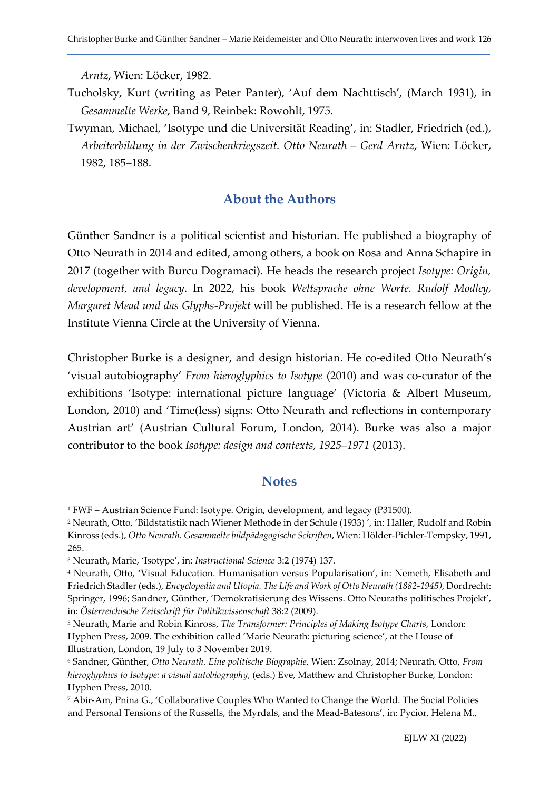Arntz, Wien: Löcker, 1982.

- Tucholsky, Kurt (writing as Peter Panter), 'Auf dem Nachttisch', (March 1931), in Gesammelte Werke, Band 9, Reinbek: Rowohlt, 1975.
- Twyman, Michael, 'Isotype und die Universität Reading', in: Stadler, Friedrich (ed.), Arbeiterbildung in der Zwischenkriegszeit. Otto Neurath – Gerd Arntz, Wien: Löcker, 1982, 185–188.

### About the Authors

Günther Sandner is a political scientist and historian. He published a biography of Otto Neurath in 2014 and edited, among others, a book on Rosa and Anna Schapire in 2017 (together with Burcu Dogramaci). He heads the research project Isotype: Origin, development, and legacy. In 2022, his book Weltsprache ohne Worte. Rudolf Modley, Margaret Mead und das Glyphs-Projekt will be published. He is a research fellow at the Institute Vienna Circle at the University of Vienna.

Christopher Burke is a designer, and design historian. He co-edited Otto Neurath's 'visual autobiography' From hieroglyphics to Isotype (2010) and was co-curator of the exhibitions 'Isotype: international picture language' (Victoria & Albert Museum, London, 2010) and 'Time(less) signs: Otto Neurath and reflections in contemporary Austrian art' (Austrian Cultural Forum, London, 2014). Burke was also a major contributor to the book Isotype: design and contexts, 1925–1971 (2013).

#### **Notes**

<sup>1</sup> FWF – Austrian Science Fund: Isotype. Origin, development, and legacy (P31500).

<sup>2</sup> Neurath, Otto, 'Bildstatistik nach Wiener Methode in der Schule (1933) ', in: Haller, Rudolf and Robin Kinross (eds.), Otto Neurath. Gesammelte bildpädagogische Schriften, Wien: Hölder-Pichler-Tempsky, 1991, 265.

<sup>&</sup>lt;sup>3</sup> Neurath, Marie, 'Isotype', in: Instructional Science 3:2 (1974) 137.

<sup>4</sup> Neurath, Otto, 'Visual Education. Humanisation versus Popularisation', in: Nemeth, Elisabeth and Friedrich Stadler (eds.), Encyclopedia and Utopia. The Life and Work of Otto Neurath (1882-1945), Dordrecht: Springer, 1996; Sandner, Günther, 'Demokratisierung des Wissens. Otto Neuraths politisches Projekt', in: Österreichische Zeitschrift für Politikwissenschaft 38:2 (2009).

<sup>&</sup>lt;sup>5</sup> Neurath, Marie and Robin Kinross, *The Transformer: Principles of Making Isotype Charts, London:* Hyphen Press, 2009. The exhibition called 'Marie Neurath: picturing science', at the House of Illustration, London, 19 July to 3 November 2019.

<sup>6</sup> Sandner, Günther, Otto Neurath. Eine politische Biographie, Wien: Zsolnay, 2014; Neurath, Otto, From hieroglyphics to Isotype: a visual autobiography, (eds.) Eve, Matthew and Christopher Burke, London: Hyphen Press, 2010.

<sup>7</sup> Abir-Am, Pnina G., 'Collaborative Couples Who Wanted to Change the World. The Social Policies and Personal Tensions of the Russells, the Myrdals, and the Mead-Batesons', in: Pycior, Helena M.,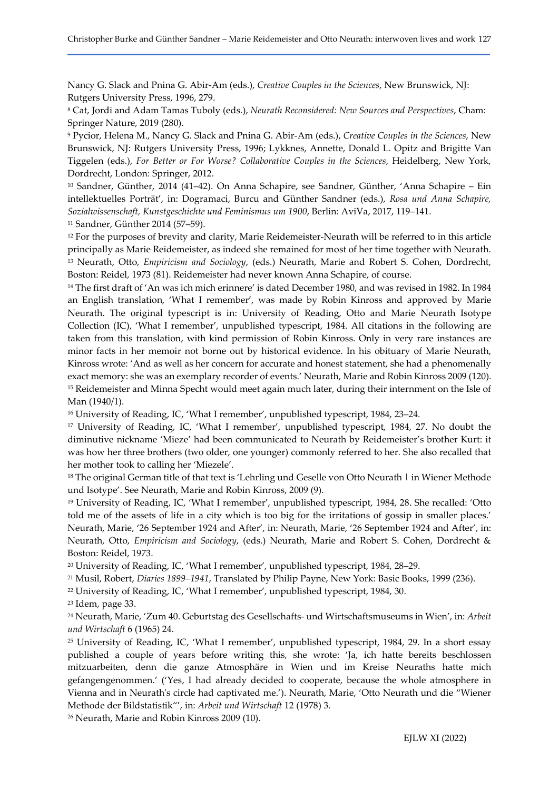Nancy G. Slack and Pnina G. Abir-Am (eds.), Creative Couples in the Sciences, New Brunswick, NJ: Rutgers University Press, 1996, 279.

<sup>8</sup> Cat, Jordi and Adam Tamas Tuboly (eds.), Neurath Reconsidered: New Sources and Perspectives, Cham: Springer Nature, 2019 (280).

<sup>9</sup> Pycior, Helena M., Nancy G. Slack and Pnina G. Abir-Am (eds.), Creative Couples in the Sciences, New Brunswick, NJ: Rutgers University Press, 1996; Lykknes, Annette, Donald L. Opitz and Brigitte Van Tiggelen (eds.), For Better or For Worse? Collaborative Couples in the Sciences, Heidelberg, New York, Dordrecht, London: Springer, 2012.

<sup>10</sup> Sandner, Günther, 2014 (41–42). On Anna Schapire, see Sandner, Günther, 'Anna Schapire – Ein intellektuelles Porträt', in: Dogramaci, Burcu and Günther Sandner (eds.), Rosa und Anna Schapire, Sozialwissenschaft, Kunstgeschichte und Feminismus um 1900, Berlin: AviVa, 2017, 119–141.

<sup>11</sup> Sandner, Günther 2014 (57–59).

<sup>12</sup> For the purposes of brevity and clarity, Marie Reidemeister-Neurath will be referred to in this article principally as Marie Reidemeister, as indeed she remained for most of her time together with Neurath. <sup>13</sup> Neurath, Otto, *Empiricism and Sociology*, (eds.) Neurath, Marie and Robert S. Cohen, Dordrecht, Boston: Reidel, 1973 (81). Reidemeister had never known Anna Schapire, of course.

<sup>14</sup> The first draft of 'An was ich mich erinnere' is dated December 1980, and was revised in 1982. In 1984 an English translation, 'What I remember', was made by Robin Kinross and approved by Marie Neurath. The original typescript is in: University of Reading, Otto and Marie Neurath Isotype Collection (IC), 'What I remember', unpublished typescript, 1984. All citations in the following are taken from this translation, with kind permission of Robin Kinross. Only in very rare instances are minor facts in her memoir not borne out by historical evidence. In his obituary of Marie Neurath, Kinross wrote: 'And as well as her concern for accurate and honest statement, she had a phenomenally exact memory: she was an exemplary recorder of events.' Neurath, Marie and Robin Kinross 2009 (120). <sup>15</sup> Reidemeister and Minna Specht would meet again much later, during their internment on the Isle of Man (1940/1).

<sup>16</sup> University of Reading, IC, 'What I remember', unpublished typescript, 1984, 23–24.

<sup>17</sup> University of Reading, IC, 'What I remember', unpublished typescript, 1984, 27. No doubt the diminutive nickname 'Mieze' had been communicated to Neurath by Reidemeister's brother Kurt: it was how her three brothers (two older, one younger) commonly referred to her. She also recalled that her mother took to calling her 'Miezele'.

<sup>18</sup> The original German title of that text is 'Lehrling und Geselle von Otto Neurath | in Wiener Methode und Isotype'. See Neurath, Marie and Robin Kinross, 2009 (9).

<sup>19</sup> University of Reading, IC, 'What I remember', unpublished typescript, 1984, 28. She recalled: 'Otto told me of the assets of life in a city which is too big for the irritations of gossip in smaller places.' Neurath, Marie, '26 September 1924 and After', in: Neurath, Marie, '26 September 1924 and After', in: Neurath, Otto, Empiricism and Sociology, (eds.) Neurath, Marie and Robert S. Cohen, Dordrecht & Boston: Reidel, 1973.

<sup>20</sup> University of Reading, IC, 'What I remember', unpublished typescript, 1984, 28–29.

<sup>21</sup> Musil, Robert, Diaries 1899–1941, Translated by Philip Payne, New York: Basic Books, 1999 (236).

<sup>22</sup> University of Reading, IC, 'What I remember', unpublished typescript, 1984, 30.

<sup>23</sup> Idem, page 33.

<sup>24</sup> Neurath, Marie, 'Zum 40. Geburtstag des Gesellschafts- und Wirtschaftsmuseums in Wien', in: Arbeit und Wirtschaft 6 (1965) 24.

<sup>25</sup> University of Reading, IC, 'What I remember', unpublished typescript, 1984, 29. In a short essay published a couple of years before writing this, she wrote: 'Ja, ich hatte bereits beschlossen mitzuarbeiten, denn die ganze Atmosphäre in Wien und im Kreise Neuraths hatte mich gefangengenommen.' ('Yes, I had already decided to cooperate, because the whole atmosphere in Vienna and in Neurath's circle had captivated me.'). Neurath, Marie, 'Otto Neurath und die "Wiener Methode der Bildstatistik"', in: Arbeit und Wirtschaft 12 (1978) 3.

26 Neurath, Marie and Robin Kinross 2009 (10).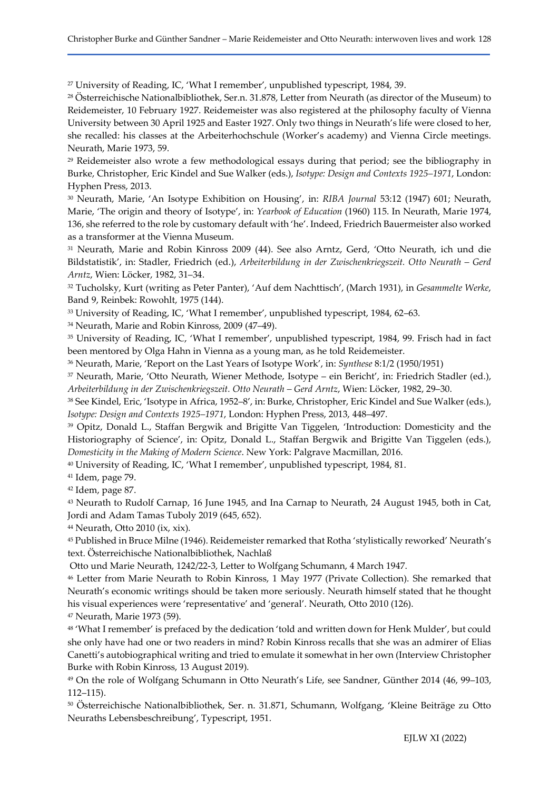<sup>27</sup> University of Reading, IC, 'What I remember', unpublished typescript, 1984, 39.

<sup>28</sup> Österreichische Nationalbibliothek, Ser.n. 31.878, Letter from Neurath (as director of the Museum) to Reidemeister, 10 February 1927. Reidemeister was also registered at the philosophy faculty of Vienna University between 30 April 1925 and Easter 1927. Only two things in Neurath's life were closed to her, she recalled: his classes at the Arbeiterhochschule (Worker's academy) and Vienna Circle meetings. Neurath, Marie 1973, 59.

<sup>29</sup> Reidemeister also wrote a few methodological essays during that period; see the bibliography in Burke, Christopher, Eric Kindel and Sue Walker (eds.), Isotype: Design and Contexts 1925–1971, London: Hyphen Press, 2013.

<sup>30</sup> Neurath, Marie, 'An Isotype Exhibition on Housing', in: RIBA Journal 53:12 (1947) 601; Neurath, Marie, 'The origin and theory of Isotype', in: Yearbook of Education (1960) 115. In Neurath, Marie 1974, 136, she referred to the role by customary default with 'he'. Indeed, Friedrich Bauermeister also worked as a transformer at the Vienna Museum.

<sup>31</sup> Neurath, Marie and Robin Kinross 2009 (44). See also Arntz, Gerd, 'Otto Neurath, ich und die Bildstatistik', in: Stadler, Friedrich (ed.), Arbeiterbildung in der Zwischenkriegszeit. Otto Neurath – Gerd Arntz, Wien: Löcker, 1982, 31–34.

<sup>32</sup> Tucholsky, Kurt (writing as Peter Panter), 'Auf dem Nachttisch', (March 1931), in Gesammelte Werke, Band 9, Reinbek: Rowohlt, 1975 (144).

<sup>33</sup> University of Reading, IC, 'What I remember', unpublished typescript, 1984, 62–63.

<sup>34</sup> Neurath, Marie and Robin Kinross, 2009 (47–49).

<sup>35</sup> University of Reading, IC, 'What I remember', unpublished typescript, 1984, 99. Frisch had in fact been mentored by Olga Hahn in Vienna as a young man, as he told Reidemeister.

<sup>36</sup> Neurath, Marie, 'Report on the Last Years of Isotype Work', in: Synthese 8:1/2 (1950/1951)

<sup>37</sup> Neurath, Marie, 'Otto Neurath, Wiener Methode, Isotype – ein Bericht', in: Friedrich Stadler (ed.), Arbeiterbildung in der Zwischenkriegszeit. Otto Neurath – Gerd Arntz, Wien: Löcker, 1982, 29–30.

<sup>38</sup> See Kindel, Eric, 'Isotype in Africa, 1952–8', in: Burke, Christopher, Eric Kindel and Sue Walker (eds.), Isotype: Design and Contexts 1925–1971, London: Hyphen Press, 2013, 448–497.

<sup>39</sup> Opitz, Donald L., Staffan Bergwik and Brigitte Van Tiggelen, 'Introduction: Domesticity and the Historiography of Science', in: Opitz, Donald L., Staffan Bergwik and Brigitte Van Tiggelen (eds.), Domesticity in the Making of Modern Science. New York: Palgrave Macmillan, 2016.

<sup>40</sup> University of Reading, IC, 'What I remember', unpublished typescript, 1984, 81.

<sup>41</sup> Idem, page 79.

<sup>42</sup> Idem, page 87.

<sup>43</sup> Neurath to Rudolf Carnap, 16 June 1945, and Ina Carnap to Neurath, 24 August 1945, both in Cat, Jordi and Adam Tamas Tuboly 2019 (645, 652).

<sup>44</sup> Neurath, Otto 2010 (ix, xix).

<sup>45</sup> Published in Bruce Milne (1946). Reidemeister remarked that Rotha 'stylistically reworked' Neurath's text. Österreichische Nationalbibliothek, Nachlaß

Otto und Marie Neurath, 1242/22-3, Letter to Wolfgang Schumann, 4 March 1947.

<sup>46</sup> Letter from Marie Neurath to Robin Kinross, 1 May 1977 (Private Collection). She remarked that Neurath's economic writings should be taken more seriously. Neurath himself stated that he thought his visual experiences were 'representative' and 'general'. Neurath, Otto 2010 (126).

<sup>47</sup> Neurath, Marie 1973 (59).

<sup>48</sup> 'What I remember' is prefaced by the dedication 'told and written down for Henk Mulder', but could she only have had one or two readers in mind? Robin Kinross recalls that she was an admirer of Elias Canetti's autobiographical writing and tried to emulate it somewhat in her own (Interview Christopher Burke with Robin Kinross, 13 August 2019).

<sup>49</sup> On the role of Wolfgang Schumann in Otto Neurath's Life, see Sandner, Günther 2014 (46, 99–103, 112–115).

<sup>50</sup> Österreichische Nationalbibliothek, Ser. n. 31.871, Schumann, Wolfgang, 'Kleine Beiträge zu Otto Neuraths Lebensbeschreibung', Typescript, 1951.